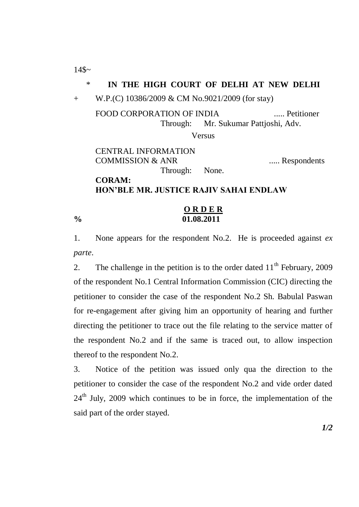$14$~$ 

## \* **IN THE HIGH COURT OF DELHI AT NEW DELHI**

+ W.P.(C) 10386/2009 & CM No.9021/2009 (for stay)

FOOD CORPORATION OF INDIA ..... Petitioner Through: Mr. Sukumar Pattjoshi, Adv.

Versus

CENTRAL INFORMATION COMMISSION & ANR ..... Respondents Through: None. **CORAM:**

**HON'BLE MR. JUSTICE RAJIV SAHAI ENDLAW**

## **O R D E R % 01.08.2011**

1. None appears for the respondent No.2. He is proceeded against *ex parte*.

2. The challenge in the petition is to the order dated  $11<sup>th</sup>$  February, 2009 of the respondent No.1 Central Information Commission (CIC) directing the petitioner to consider the case of the respondent No.2 Sh. Babulal Paswan for re-engagement after giving him an opportunity of hearing and further directing the petitioner to trace out the file relating to the service matter of the respondent No.2 and if the same is traced out, to allow inspection thereof to the respondent No.2.

3. Notice of the petition was issued only qua the direction to the petitioner to consider the case of the respondent No.2 and vide order dated  $24<sup>th</sup>$  July, 2009 which continues to be in force, the implementation of the said part of the order stayed.